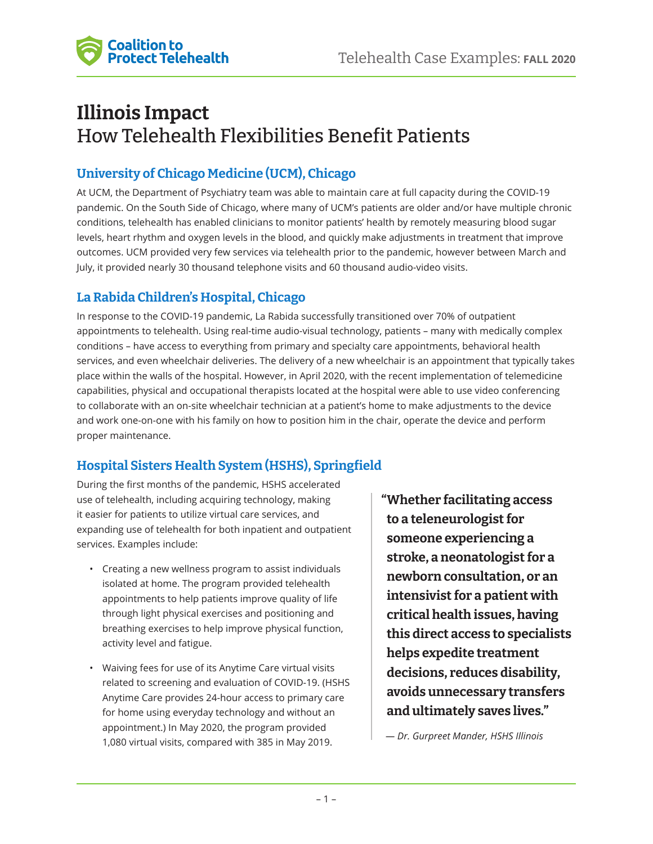

# **Illinois Impact**  How Telehealth Flexibilities Benefit Patients

## **University of Chicago Medicine (UCM), Chicago**

At UCM, the Department of Psychiatry team was able to maintain care at full capacity during the COVID-19 pandemic. On the South Side of Chicago, where many of UCM's patients are older and/or have multiple chronic conditions, telehealth has enabled clinicians to monitor patients' health by remotely measuring blood sugar levels, heart rhythm and oxygen levels in the blood, and quickly make adjustments in treatment that improve outcomes. UCM provided very few services via telehealth prior to the pandemic, however between March and July, it provided nearly 30 thousand telephone visits and 60 thousand audio-video visits.

### **La Rabida Children's Hospital, Chicago**

In response to the COVID-19 pandemic, La Rabida successfully transitioned over 70% of outpatient appointments to telehealth. Using real-time audio-visual technology, patients – many with medically complex conditions – have access to everything from primary and specialty care appointments, behavioral health services, and even wheelchair deliveries. The delivery of a new wheelchair is an appointment that typically takes place within the walls of the hospital. However, in April 2020, with the recent implementation of telemedicine capabilities, physical and occupational therapists located at the hospital were able to use video conferencing to collaborate with an on-site wheelchair technician at a patient's home to make adjustments to the device and work one-on-one with his family on how to position him in the chair, operate the device and perform proper maintenance.

# **Hospital Sisters Health System (HSHS), Springfield**

During the first months of the pandemic, HSHS accelerated use of telehealth, including acquiring technology, making it easier for patients to utilize virtual care services, and expanding use of telehealth for both inpatient and outpatient services. Examples include:

- Creating a new wellness program to assist individuals isolated at home. The program provided telehealth appointments to help patients improve quality of life through light physical exercises and positioning and breathing exercises to help improve physical function, activity level and fatigue.
- Waiving fees for use of its Anytime Care virtual visits related to screening and evaluation of COVID-19. (HSHS Anytime Care provides 24-hour access to primary care for home using everyday technology and without an appointment.) In May 2020, the program provided 1,080 virtual visits, compared with 385 in May 2019.

**"Whether facilitating access to a teleneurologist for someone experiencing a stroke, a neonatologist for a newborn consultation, or an intensivist for a patient with critical health issues, having this direct access to specialists helps expedite treatment decisions, reduces disability, avoids unnecessary transfers and ultimately saves lives."**

*— Dr. Gurpreet Mander, HSHS Illinois*